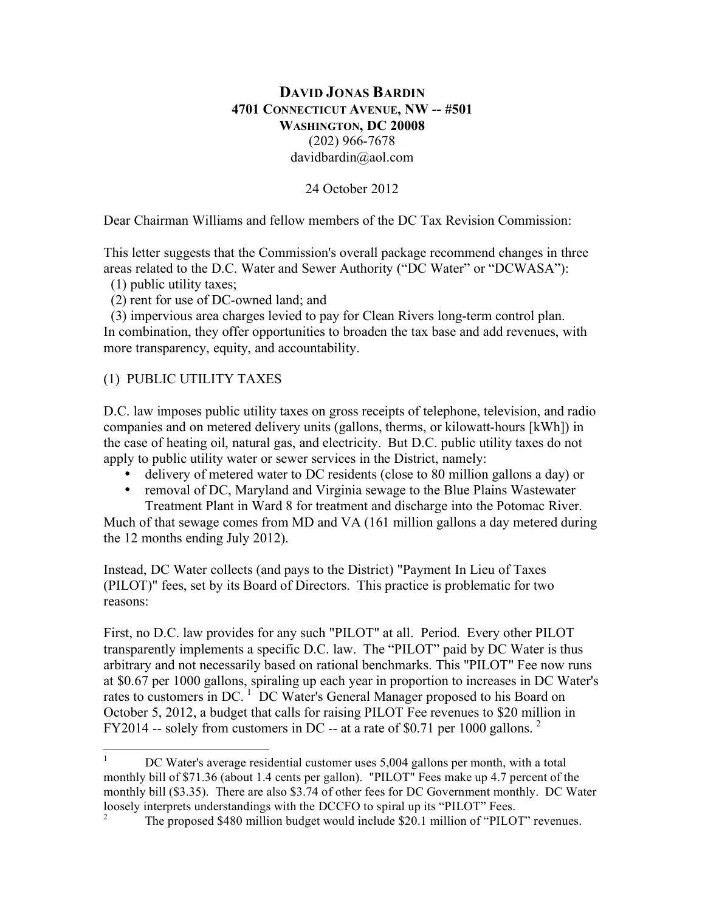## **DAVID JONAS BARDIN 4701 CONNECTICUT AVENUE, NW -- #501 WASHINGTON, DC 20008** (202) 966-7678 davidbardin@aol.com

24 October 2012

Dear Chairman Williams and fellow members of the DC Tax Revision Commission:

This letter suggests that the Commission's overall package recommend changes in three areas related to the D.C. Water and Sewer Authority ("DC Water" or "DCWASA"):

(1) public utility taxes;

(2) rent for use of DC-owned land; and

 (3) impervious area charges levied to pay for Clean Rivers long-term control plan. In combination, they offer opportunities to broaden the tax base and add revenues, with more transparency, equity, and accountability.

#### (1) PUBLIC UTILITY TAXES

D.C. law imposes public utility taxes on gross receipts of telephone, television, and radio companies and on metered delivery units (gallons, therms, or kilowatt-hours [kWh]) in the case of heating oil, natural gas, and electricity. But D.C. public utility taxes do not apply to public utility water or sewer services in the District, namely:

- delivery of metered water to DC residents (close to 80 million gallons a day) or
- removal of DC, Maryland and Virginia sewage to the Blue Plains Wastewater Treatment Plant in Ward 8 for treatment and discharge into the Potomac River.

Much of that sewage comes from MD and VA (161 million gallons a day metered during the 12 months ending July 2012).

Instead, DC Water collects (and pays to the District) "Payment In Lieu of Taxes (PILOT)" fees, set by its Board of Directors. This practice is problematic for two reasons:

First, no D.C. law provides for any such "PILOT" at all. Period. Every other PILOT transparently implements a specific D.C. law. The "PILOT" paid by DC Water is thus arbitrary and not necessarily based on rational benchmarks. This "PILOT" Fee now runs at \$0.67 per 1000 gallons, spiraling up each year in proportion to increases in DC Water's rates to customers in DC.<sup>1</sup> DC Water's General Manager proposed to his Board on October 5, 2012, a budget that calls for raising PILOT Fee revenues to \$20 million in FY2014 -- solely from customers in DC -- at a rate of \$0.71 per 1000 gallons.  $2^{\circ}$ 

<sup>&</sup>lt;sup>1</sup> DC Water's average residential customer uses  $5,004$  gallons per month, with a total monthly bill of \$71.36 (about 1.4 cents per gallon). "PILOT" Fees make up 4.7 percent of the monthly bill (\$3.35). There are also \$3.74 of other fees for DC Government monthly. DC Water loosely interprets understandings with the DCCFO to spiral up its "PILOT" Fees.

<sup>2</sup> The proposed \$480 million budget would include \$20.1 million of "PILOT" revenues.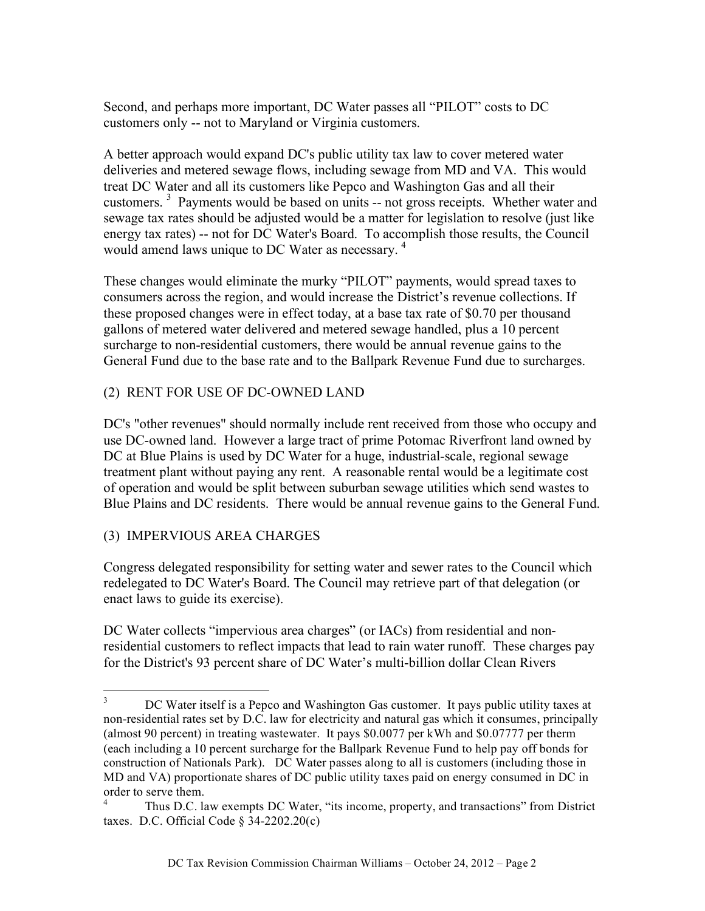Second, and perhaps more important, DC Water passes all "PILOT" costs to DC customers only -- not to Maryland or Virginia customers.

A better approach would expand DC's public utility tax law to cover metered water deliveries and metered sewage flows, including sewage from MD and VA. This would treat DC Water and all its customers like Pepco and Washington Gas and all their customers.<sup>3</sup> Payments would be based on units -- not gross receipts. Whether water and sewage tax rates should be adjusted would be a matter for legislation to resolve (just like energy tax rates) -- not for DC Water's Board. To accomplish those results, the Council would amend laws unique to DC Water as necessary.<sup>4</sup>

These changes would eliminate the murky "PILOT" payments, would spread taxes to consumers across the region, and would increase the District's revenue collections. If these proposed changes were in effect today, at a base tax rate of \$0.70 per thousand gallons of metered water delivered and metered sewage handled, plus a 10 percent surcharge to non-residential customers, there would be annual revenue gains to the General Fund due to the base rate and to the Ballpark Revenue Fund due to surcharges.

## (2) RENT FOR USE OF DC-OWNED LAND

DC's "other revenues" should normally include rent received from those who occupy and use DC-owned land. However a large tract of prime Potomac Riverfront land owned by DC at Blue Plains is used by DC Water for a huge, industrial-scale, regional sewage treatment plant without paying any rent. A reasonable rental would be a legitimate cost of operation and would be split between suburban sewage utilities which send wastes to Blue Plains and DC residents. There would be annual revenue gains to the General Fund.

### (3) IMPERVIOUS AREA CHARGES

Congress delegated responsibility for setting water and sewer rates to the Council which redelegated to DC Water's Board. The Council may retrieve part of that delegation (or enact laws to guide its exercise).

DC Water collects "impervious area charges" (or IACs) from residential and nonresidential customers to reflect impacts that lead to rain water runoff. These charges pay for the District's 93 percent share of DC Water's multi-billion dollar Clean Rivers

 $3$  DC Water itself is a Pepco and Washington Gas customer. It pays public utility taxes at non-residential rates set by D.C. law for electricity and natural gas which it consumes, principally (almost 90 percent) in treating wastewater. It pays \$0.0077 per kWh and \$0.07777 per therm (each including a 10 percent surcharge for the Ballpark Revenue Fund to help pay off bonds for construction of Nationals Park). DC Water passes along to all is customers (including those in MD and VA) proportionate shares of DC public utility taxes paid on energy consumed in DC in order to serve them.

<sup>4</sup> Thus D.C. law exempts DC Water, "its income, property, and transactions" from District taxes. D.C. Official Code  $\S$  34-2202.20(c)